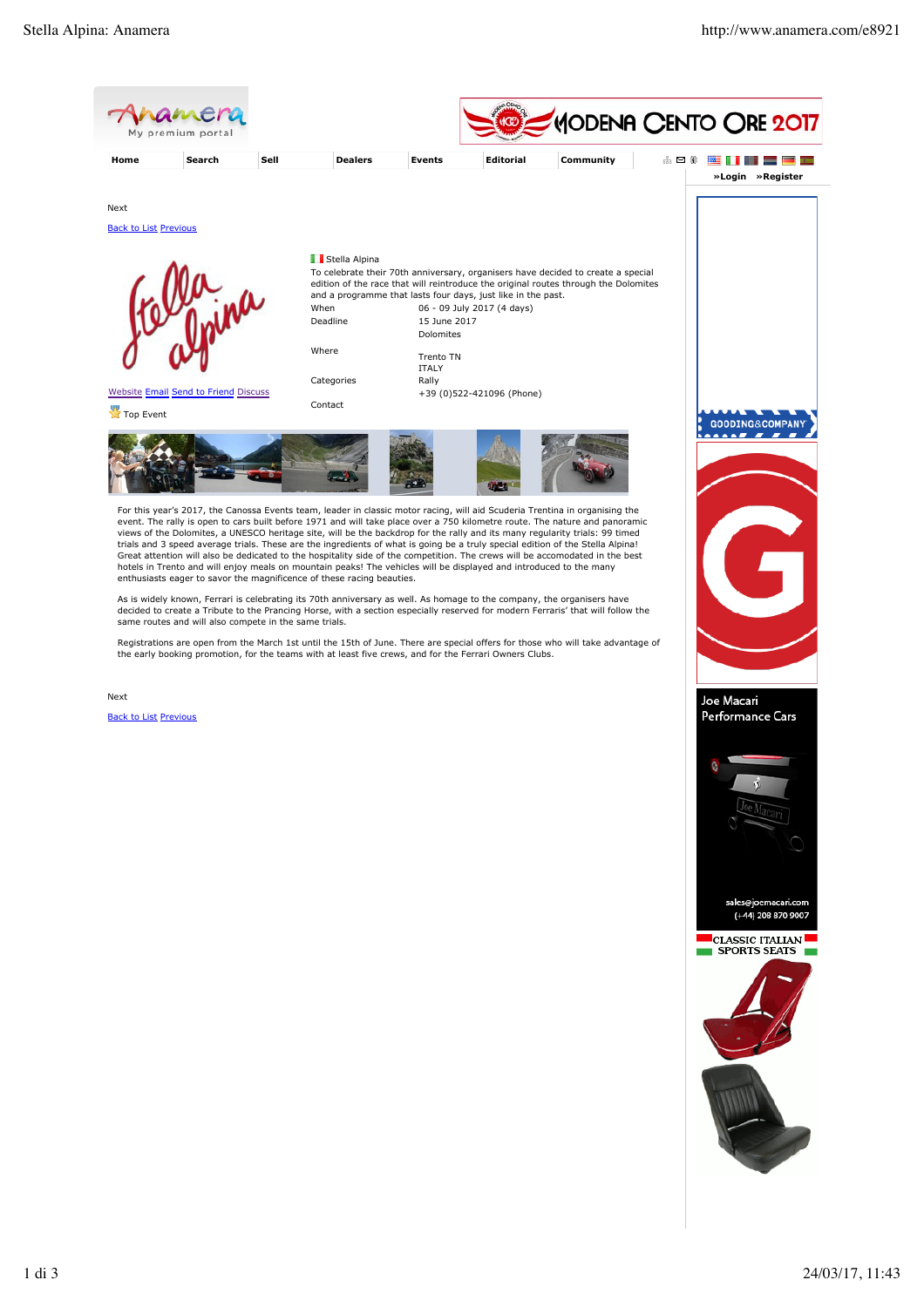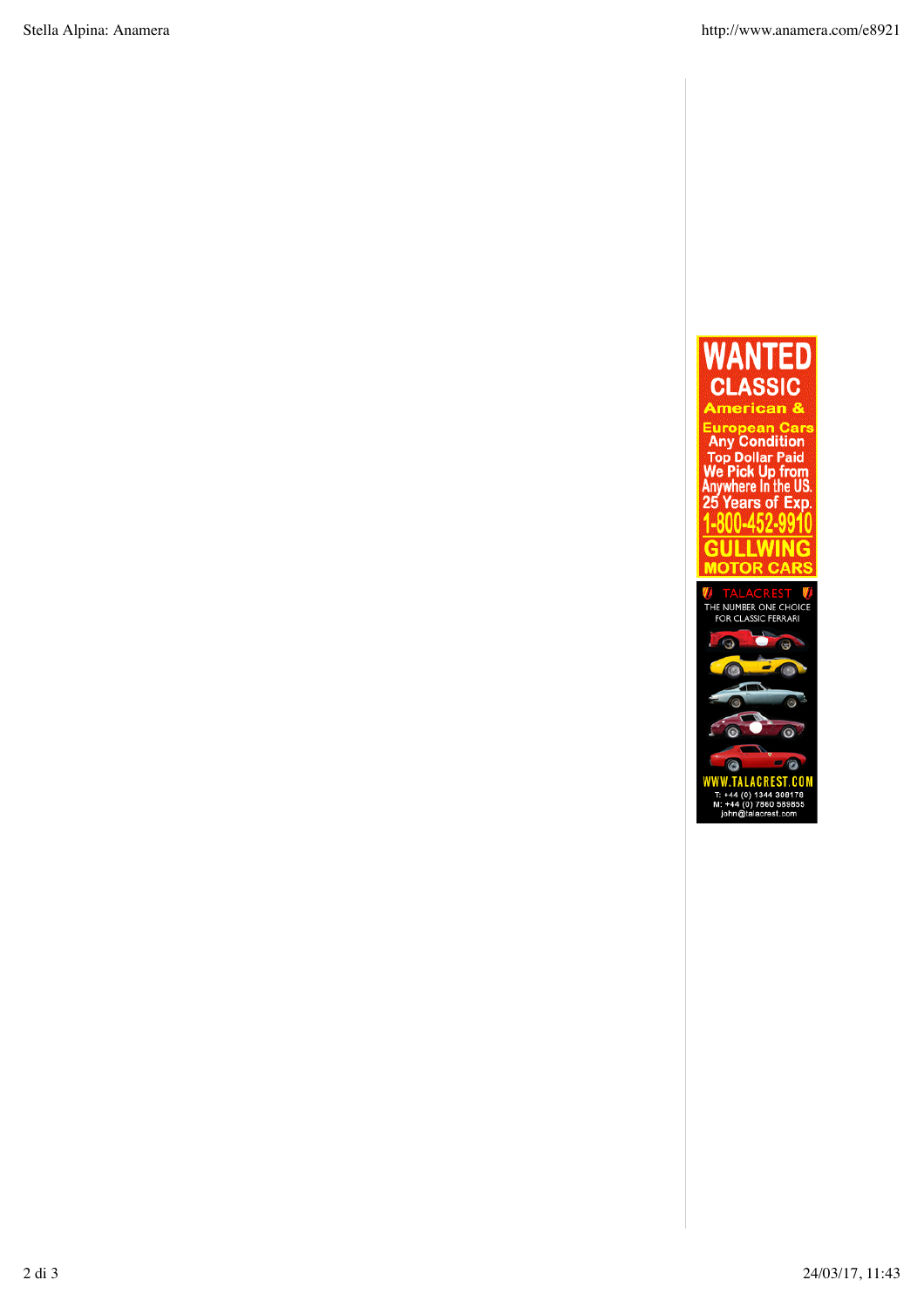





WWW.TALACREST.COM<br>T: +44 (0) 1344 308178<br>M: +44 (0) 7860 589855<br>john@talacrest.com